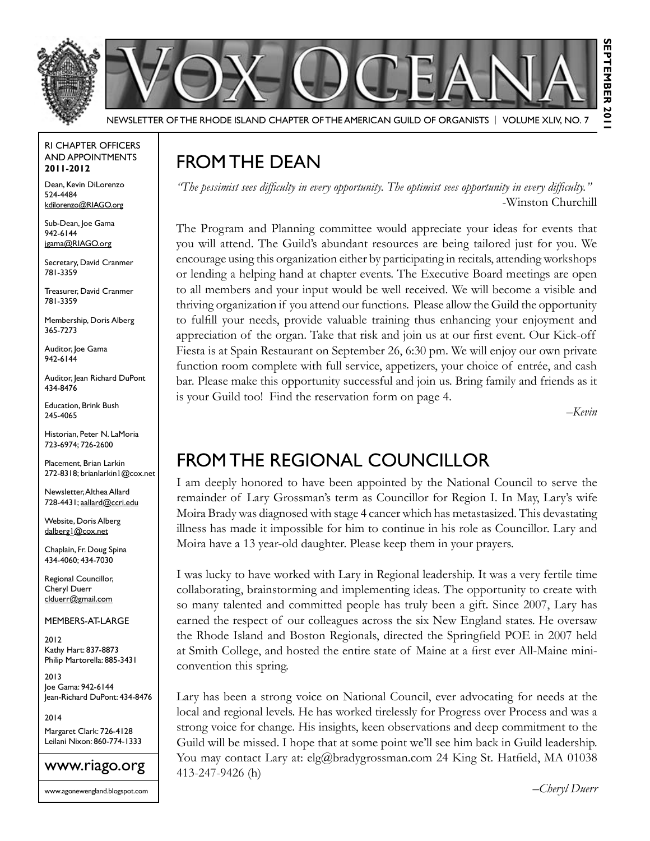

Newsletter of the Rhode Island Chapter of the American Guild of OrganistS | Volume XLIV, No. 7

#### RI Chapter Officers and Appointments **2011-2012**

Dean, Kevin DiLorenzo 524-4484 kdilorenzo@RIAGO.org

Sub-Dean, Joe Gama 942-6144 jgama@RIAGO.org

Secretary, David Cranmer 781-3359

Treasurer, David Cranmer 781-3359

Membership, Doris Alberg 365-7273

Auditor, Joe Gama 942-6144

Auditor, Jean Richard DuPont 434-8476

Education, Brink Bush 245-4065

Historian, Peter N. LaMoria 723-6974; 726-2600

Placement, Brian Larkin 272-8318; brianlarkin1@cox.net

Newsletter, Althea Allard 728-4431; aallard@ccri.edu

Website, Doris Alberg dalberg1@cox.net

Chaplain, Fr. Doug Spina 434-4060; 434-7030

Regional Councillor, Cheryl Duerr clduerr@gmail.com

Members-at-Large

2012 Kathy Hart: 837-8873 Philip Martorella: 885-3431

2013 Joe Gama: 942-6144 Jean-Richard DuPont: 434-8476

2014 Margaret Clark: 726-4128 Leilani Nixon: 860-774-1333



## FROM THE DEAN

*"The pessimist sees difficulty in every opportunity. The optimist sees opportunity in every difficulty."*  -Winston Churchill

The Program and Planning committee would appreciate your ideas for events that you will attend. The Guild's abundant resources are being tailored just for you. We encourage using this organization either by participating in recitals, attending workshops or lending a helping hand at chapter events. The Executive Board meetings are open to all members and your input would be well received. We will become a visible and thriving organization if you attend our functions. Please allow the Guild the opportunity to fulfill your needs, provide valuable training thus enhancing your enjoyment and appreciation of the organ. Take that risk and join us at our first event. Our Kick-off Fiesta is at Spain Restaurant on September 26, 6:30 pm. We will enjoy our own private function room complete with full service, appetizers, your choice of entrée, and cash bar. Please make this opportunity successful and join us. Bring family and friends as it is your Guild too! Find the reservation form on page 4.

*–Kevin*

## from the Regional Councillor

I am deeply honored to have been appointed by the National Council to serve the remainder of Lary Grossman's term as Councillor for Region I. In May, Lary's wife Moira Brady was diagnosed with stage 4 cancer which has metastasized. This devastating illness has made it impossible for him to continue in his role as Councillor. Lary and Moira have a 13 year-old daughter. Please keep them in your prayers.

I was lucky to have worked with Lary in Regional leadership. It was a very fertile time collaborating, brainstorming and implementing ideas. The opportunity to create with so many talented and committed people has truly been a gift. Since 2007, Lary has earned the respect of our colleagues across the six New England states. He oversaw the Rhode Island and Boston Regionals, directed the Springfield POE in 2007 held at Smith College, and hosted the entire state of Maine at a first ever All-Maine miniconvention this spring.

Lary has been a strong voice on National Council, ever advocating for needs at the local and regional levels. He has worked tirelessly for Progress over Process and was a strong voice for change. His insights, keen observations and deep commitment to the Guild will be missed. I hope that at some point we'll see him back in Guild leadership. You may contact Lary at: elg@bradygrossman.com 24 King St. Hatfield, MA 01038 413-247-9426 (h)

*–Cheryl Duerr*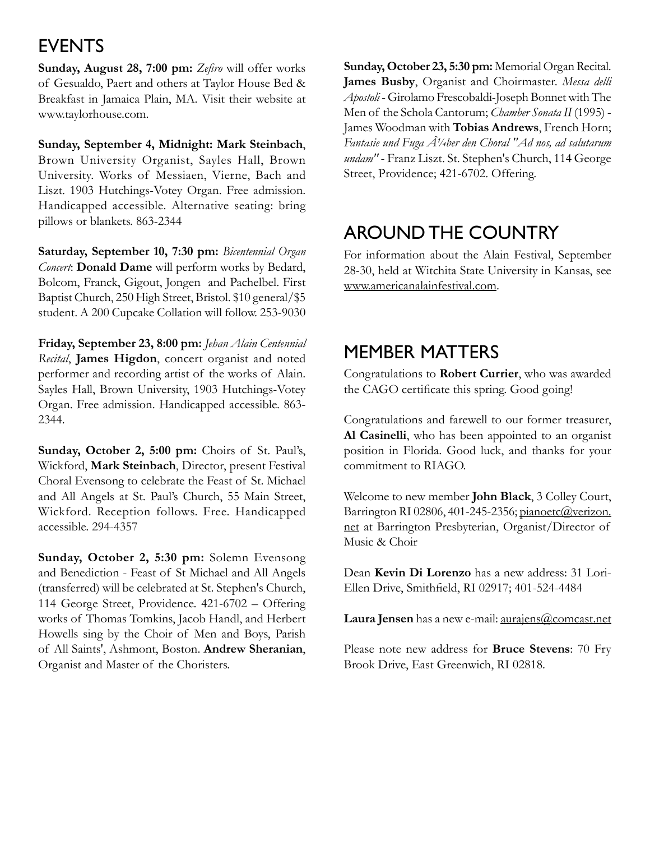### **EVENTS**

**Sunday, August 28, 7:00 pm:** *Zefiro* will offer works of Gesualdo, Paert and others at Taylor House Bed & Breakfast in Jamaica Plain, MA. Visit their website at www.taylorhouse.com.

**Sunday, September 4, Midnight: Mark Steinbach**, Brown University Organist, Sayles Hall, Brown University. Works of Messiaen, Vierne, Bach and Liszt. 1903 Hutchings-Votey Organ. Free admission. Handicapped accessible. Alternative seating: bring pillows or blankets. 863-2344

**Saturday, September 10, 7:30 pm:** *Bicentennial Organ Concert*: **Donald Dame** will perform works by Bedard, Bolcom, Franck, Gigout, Jongen and Pachelbel. First Baptist Church, 250 High Street, Bristol. \$10 general/\$5 student. A 200 Cupcake Collation will follow. 253-9030

**Friday, September 23, 8:00 pm:** *Jehan Alain Centennial Recital*, **James Higdon**, concert organist and noted performer and recording artist of the works of Alain. Sayles Hall, Brown University, 1903 Hutchings-Votey Organ. Free admission. Handicapped accessible. 863- 2344.

**Sunday, October 2, 5:00 pm:** Choirs of St. Paul's, Wickford, **Mark Steinbach**, Director, present Festival Choral Evensong to celebrate the Feast of St. Michael and All Angels at St. Paul's Church, 55 Main Street, Wickford. Reception follows. Free. Handicapped accessible. 294-4357

**Sunday, October 2, 5:30 pm:** Solemn Evensong and Benediction - Feast of St Michael and All Angels (transferred) will be celebrated at St. Stephen's Church, 114 George Street, Providence. 421-6702 – Offering works of Thomas Tomkins, Jacob Handl, and Herbert Howells sing by the Choir of Men and Boys, Parish of All Saints', Ashmont, Boston. **Andrew Sheranian**, Organist and Master of the Choristers.

**Sunday, October 23, 5:30 pm:** Memorial Organ Recital. **James Busby**, Organist and Choirmaster. *Messa delli Apostoli* - Girolamo Frescobaldi-Joseph Bonnet with The Men of the Schola Cantorum; *Chamber Sonata II* (1995) - James Woodman with **Tobias Andrews**, French Horn; Fantasie und Fuga Ä<sup>1</sup>/4ber den Choral "Ad nos, ad salutarum *undam"* - Franz Liszt. St. Stephen's Church, 114 George Street, Providence; 421-6702. Offering.

## Around the Country

For information about the Alain Festival, September 28-30, held at Witchita State University in Kansas, see www.americanalainfestival.com.

### Member Matters

Congratulations to **Robert Currier**, who was awarded the CAGO certificate this spring. Good going!

Congratulations and farewell to our former treasurer, **Al Casinelli**, who has been appointed to an organist position in Florida. Good luck, and thanks for your commitment to RIAGO.

Welcome to new member **John Black**, 3 Colley Court, Barrington RI 02806, 401-245-2356; pianoetc@verizon. net at Barrington Presbyterian, Organist/Director of Music & Choir

Dean **Kevin Di Lorenzo** has a new address: 31 Lori-Ellen Drive, Smithfield, RI 02917; 401-524-4484

**Laura Jensen** has a new e-mail: aurajens@comcast.net

Please note new address for **Bruce Stevens**: 70 Fry Brook Drive, East Greenwich, RI 02818.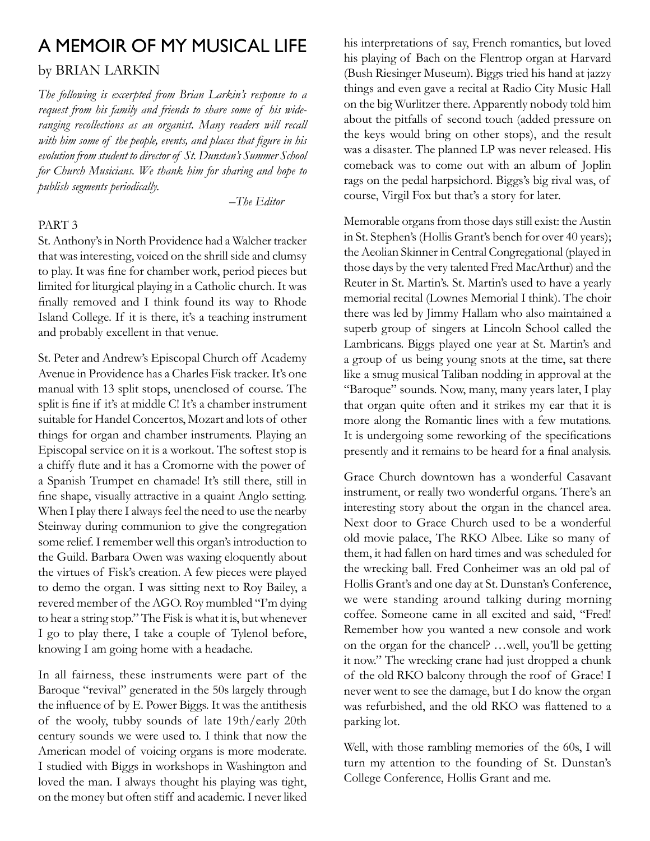# A Memoir of My Musical Life

#### by Brian Larkin

*The following is excerpted from Brian Larkin's response to a request from his family and friends to share some of his wideranging recollections as an organist. Many readers will recall with him some of the people, events, and places that figure in his evolution from student to director of St. Dunstan's Summer School for Church Musicians. We thank him for sharing and hope to publish segments periodically.*

*–The Editor* 

#### PART 3

St. Anthony's in North Providence had a Walcher tracker that was interesting, voiced on the shrill side and clumsy to play. It was fine for chamber work, period pieces but limited for liturgical playing in a Catholic church. It was finally removed and I think found its way to Rhode Island College. If it is there, it's a teaching instrument and probably excellent in that venue.

St. Peter and Andrew's Episcopal Church off Academy Avenue in Providence has a Charles Fisk tracker. It's one manual with 13 split stops, unenclosed of course. The split is fine if it's at middle C! It's a chamber instrument suitable for Handel Concertos, Mozart and lots of other things for organ and chamber instruments. Playing an Episcopal service on it is a workout. The softest stop is a chiffy flute and it has a Cromorne with the power of a Spanish Trumpet en chamade! It's still there, still in fine shape, visually attractive in a quaint Anglo setting. When I play there I always feel the need to use the nearby Steinway during communion to give the congregation some relief. I remember well this organ's introduction to the Guild. Barbara Owen was waxing eloquently about the virtues of Fisk's creation. A few pieces were played to demo the organ. I was sitting next to Roy Bailey, a revered member of the AGO. Roy mumbled "I'm dying to hear a string stop." The Fisk is what it is, but whenever I go to play there, I take a couple of Tylenol before, knowing I am going home with a headache.

In all fairness, these instruments were part of the Baroque "revival" generated in the 50s largely through the influence of by E. Power Biggs. It was the antithesis of the wooly, tubby sounds of late 19th/early 20th century sounds we were used to. I think that now the American model of voicing organs is more moderate. I studied with Biggs in workshops in Washington and loved the man. I always thought his playing was tight, on the money but often stiff and academic. I never liked

his interpretations of say, French romantics, but loved his playing of Bach on the Flentrop organ at Harvard (Bush Riesinger Museum). Biggs tried his hand at jazzy things and even gave a recital at Radio City Music Hall on the big Wurlitzer there. Apparently nobody told him about the pitfalls of second touch (added pressure on the keys would bring on other stops), and the result was a disaster. The planned LP was never released. His comeback was to come out with an album of Joplin rags on the pedal harpsichord. Biggs's big rival was, of course, Virgil Fox but that's a story for later.

Memorable organs from those days still exist: the Austin in St. Stephen's (Hollis Grant's bench for over 40 years); the Aeolian Skinner in Central Congregational (played in those days by the very talented Fred MacArthur) and the Reuter in St. Martin's. St. Martin's used to have a yearly memorial recital (Lownes Memorial I think). The choir there was led by Jimmy Hallam who also maintained a superb group of singers at Lincoln School called the Lambricans. Biggs played one year at St. Martin's and a group of us being young snots at the time, sat there like a smug musical Taliban nodding in approval at the "Baroque" sounds. Now, many, many years later, I play that organ quite often and it strikes my ear that it is more along the Romantic lines with a few mutations. It is undergoing some reworking of the specifications presently and it remains to be heard for a final analysis.

Grace Church downtown has a wonderful Casavant instrument, or really two wonderful organs. There's an interesting story about the organ in the chancel area. Next door to Grace Church used to be a wonderful old movie palace, The RKO Albee. Like so many of them, it had fallen on hard times and was scheduled for the wrecking ball. Fred Conheimer was an old pal of Hollis Grant's and one day at St. Dunstan's Conference, we were standing around talking during morning coffee. Someone came in all excited and said, "Fred! Remember how you wanted a new console and work on the organ for the chancel? …well, you'll be getting it now." The wrecking crane had just dropped a chunk of the old RKO balcony through the roof of Grace! I never went to see the damage, but I do know the organ was refurbished, and the old RKO was flattened to a parking lot.

Well, with those rambling memories of the 60s, I will turn my attention to the founding of St. Dunstan's College Conference, Hollis Grant and me.